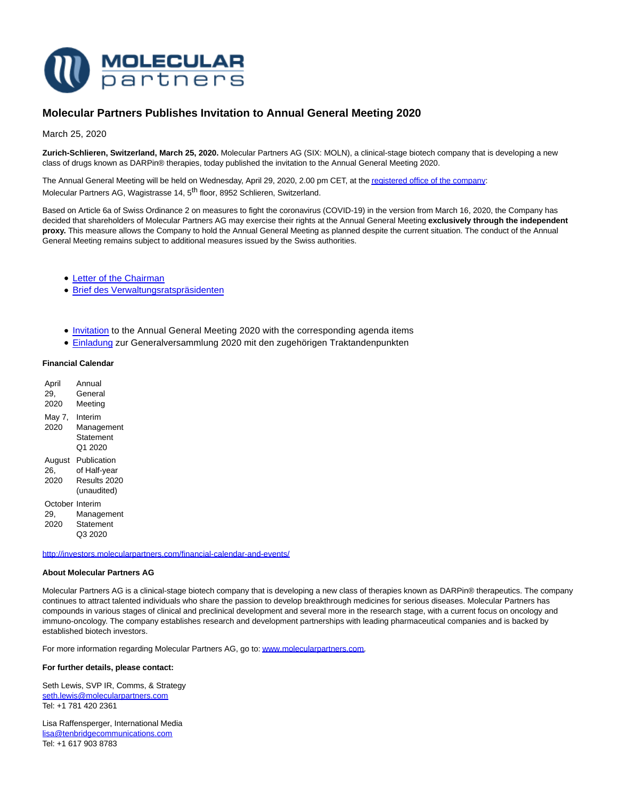

# **Molecular Partners Publishes Invitation to Annual General Meeting 2020**

March 25, 2020

**Zurich-Schlieren, Switzerland, March 25, 2020.** Molecular Partners AG (SIX: MOLN), a clinical-stage biotech company that is developing a new class of drugs known as DARPin® therapies, today published the invitation to the Annual General Meeting 2020.

The Annual General Meeting will be held on Wednesday, April 29, 2020, 2.00 pm CET, at th[e registered office of the company:](https://www.molecularpartners.com/contact/) Molecular Partners AG, Wagistrasse 14, 5th floor, 8952 Schlieren, Switzerland.

Based on Article 6a of Swiss Ordinance 2 on measures to fight the coronavirus (COVID-19) in the version from March 16, 2020, the Company has decided that shareholders of Molecular Partners AG may exercise their rights at the Annual General Meeting **exclusively through the independent proxy.** This measure allows the Company to hold the Annual General Meeting as planned despite the current situation. The conduct of the Annual General Meeting remains subject to additional measures issued by the Swiss authorities.

- [Letter of the Chairman](https://www.molecularpartners.com/wp-content/uploads/20200325_ChairmanLetterToShareholders_EN.pdf)
- [Brief des Verwaltungsratspräsidenten](https://www.molecularpartners.com/wp-content/uploads/20200325_ChairmanLetterToShareholders_DE.pdf)
- [Invitation t](https://www.molecularpartners.com/wp-content/uploads/20200325_Invitation-AGM-2020-English_final.pdf)o the Annual General Meeting 2020 with the corresponding agenda items
- [Einladung z](https://www.molecularpartners.com/wp-content/uploads/20200325_Invitation-AGM-2020-German_final.pdf)ur Generalversammlung 2020 mit den zugehörigen Traktandenpunkten

## **Financial Calendar**

| April                 | Annual                                                     |
|-----------------------|------------------------------------------------------------|
| 29.                   | General                                                    |
| 2020                  | Meeting                                                    |
| May 7,<br>2020        | Interim<br>Management<br>Statement<br>O1 2020              |
| August<br>26.<br>2020 | Publication<br>of Half-year<br>Results 2020<br>(unaudited) |
| October Interim       | Management                                                 |
| 29.                   | Statement                                                  |
| 2020                  | Q3 2020                                                    |

<http://investors.molecularpartners.com/financial-calendar-and-events/>

#### **About Molecular Partners AG**

Molecular Partners AG is a clinical-stage biotech company that is developing a new class of therapies known as DARPin® therapeutics. The company continues to attract talented individuals who share the passion to develop breakthrough medicines for serious diseases. Molecular Partners has compounds in various stages of clinical and preclinical development and several more in the research stage, with a current focus on oncology and immuno-oncology. The company establishes research and development partnerships with leading pharmaceutical companies and is backed by established biotech investors.

For more information regarding Molecular Partners AG, go to[: www.molecularpartners.com.](https://www.molecularpartners.com/)

## **For further details, please contact:**

Seth Lewis, SVP IR, Comms, & Strategy [seth.lewis@molecularpartners.com](mailto:seth.lewis@molecularpartners.com) Tel: +1 781 420 2361

Lisa Raffensperger, International Media [lisa@tenbridgecommunications.com](mailto:lisa@tenbridgecommunications.com) Tel: +1 617 903 8783